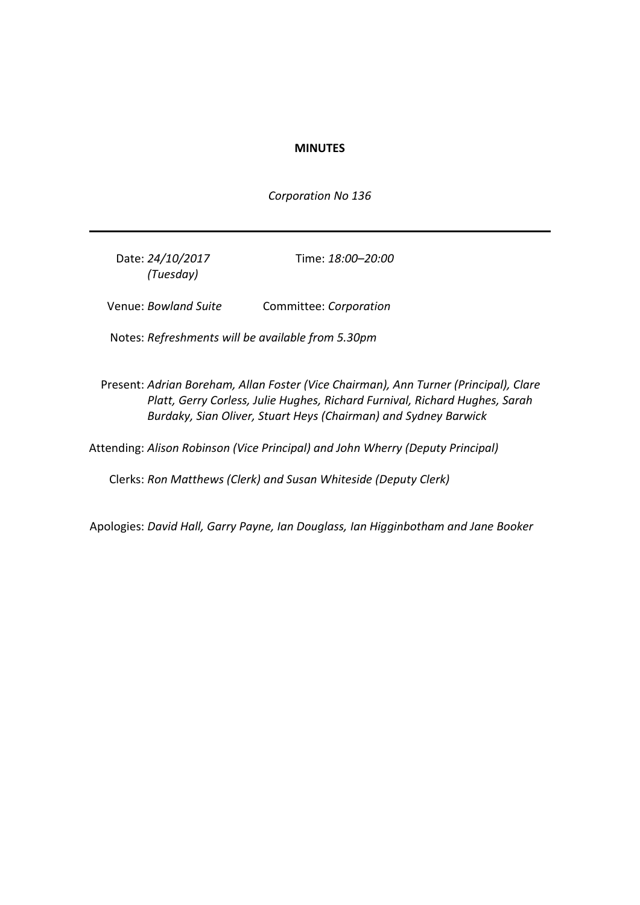### **MINUTES**

*Corporation No 136*

Date: *24/10/2017 (Tuesday)*

Time: *18:00–20:00*

Venue: *Bowland Suite* Committee: *Corporation*

Notes: *Refreshments will be available from 5.30pm*

Present: *Adrian Boreham, Allan Foster (Vice Chairman), Ann Turner (Principal), Clare Platt, Gerry Corless, Julie Hughes, Richard Furnival, Richard Hughes, Sarah Burdaky, Sian Oliver, Stuart Heys (Chairman) and Sydney Barwick*

Attending: *Alison Robinson (Vice Principal) and John Wherry (Deputy Principal)*

Clerks: *Ron Matthews (Clerk) and Susan Whiteside (Deputy Clerk)*

Apologies: *David Hall, Garry Payne, Ian Douglass, Ian Higginbotham and Jane Booker*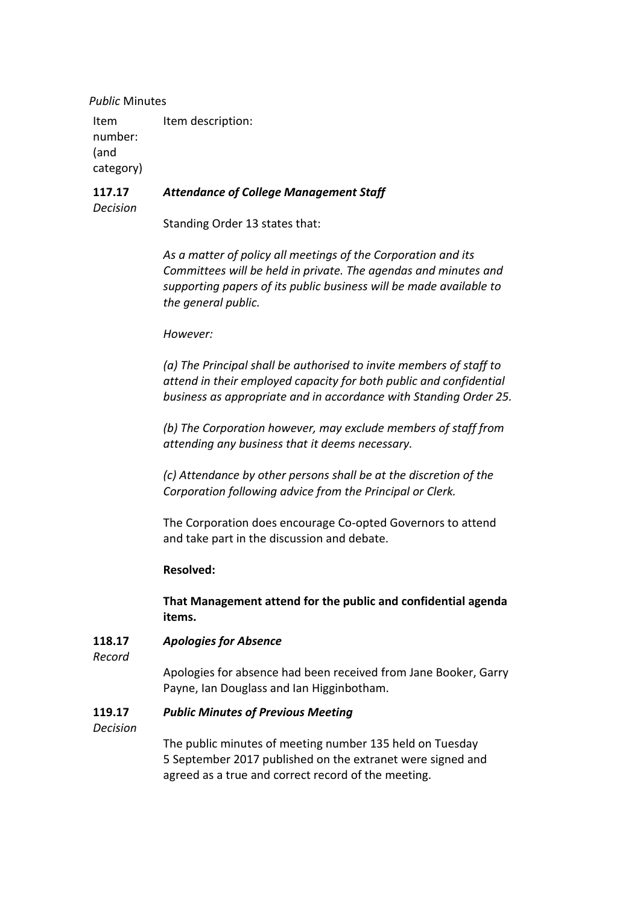*Public* Minutes

Item number: (and category) Item description:

#### **117.17** *Attendance of College Management Staff*

*Decision*

Standing Order 13 states that:

*As a matter of policy all meetings of the Corporation and its Committees will be held in private. The agendas and minutes and supporting papers of its public business will be made available to the general public.*

### *However:*

*(a) The Principal shall be authorised to invite members of staff to attend in their employed capacity for both public and confidential business as appropriate and in accordance with Standing Order 25.*

*(b) The Corporation however, may exclude members of staff from attending any business that it deems necessary.*

*(c) Attendance by other persons shall be at the discretion of the Corporation following advice from the Principal or Clerk.*

The Corporation does encourage Co-opted Governors to attend and take part in the discussion and debate.

## **Resolved:**

**That Management attend for the public and confidential agenda items.**

#### **118.17** *Apologies for Absence*

*Record*

Apologies for absence had been received from Jane Booker, Garry Payne, Ian Douglass and Ian Higginbotham.

#### **119.17** *Public Minutes of Previous Meeting*

*Decision*

The public minutes of meeting number 135 held on Tuesday 5 September 2017 published on the extranet were signed and agreed as a true and correct record of the meeting.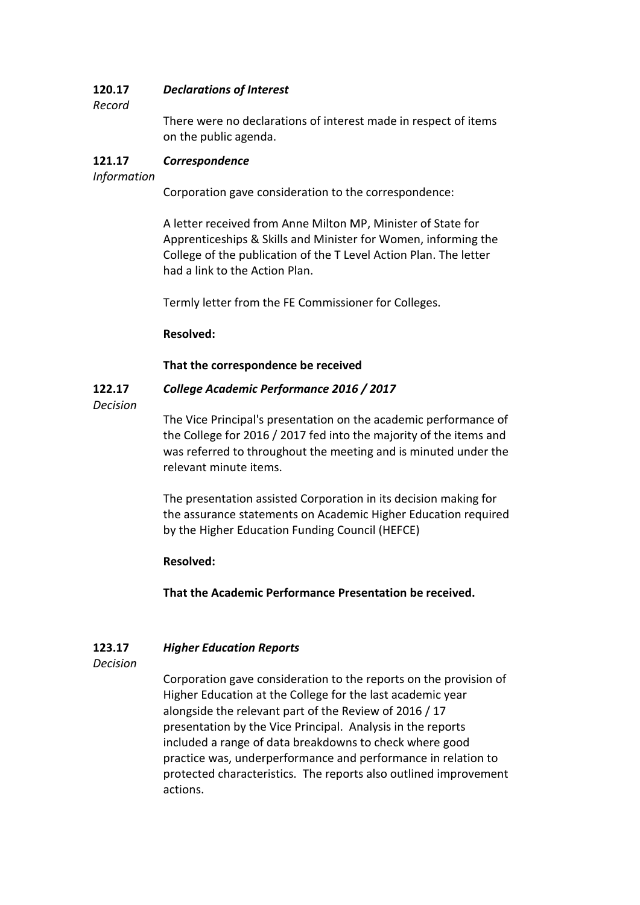#### **120.17** *Declarations of Interest*

## *Record*

There were no declarations of interest made in respect of items on the public agenda.

#### **121.17** *Correspondence*

## *Information*

Corporation gave consideration to the correspondence:

A letter received from Anne Milton MP, Minister of State for Apprenticeships & Skills and Minister for Women, informing the College of the publication of the T Level Action Plan. The letter had a link to the Action Plan.

Termly letter from the FE Commissioner for Colleges.

## **Resolved:**

## **That the correspondence be received**

#### **122.17** *College Academic Performance 2016 / 2017*

## *Decision*

The Vice Principal's presentation on the academic performance of the College for 2016 / 2017 fed into the majority of the items and was referred to throughout the meeting and is minuted under the relevant minute items.

The presentation assisted Corporation in its decision making for the assurance statements on Academic Higher Education required by the Higher Education Funding Council (HEFCE)

## **Resolved:**

**That the Academic Performance Presentation be received.**

#### **123.17** *Higher Education Reports*

*Decision*

Corporation gave consideration to the reports on the provision of Higher Education at the College for the last academic year alongside the relevant part of the Review of 2016 / 17 presentation by the Vice Principal. Analysis in the reports included a range of data breakdowns to check where good practice was, underperformance and performance in relation to protected characteristics. The reports also outlined improvement actions.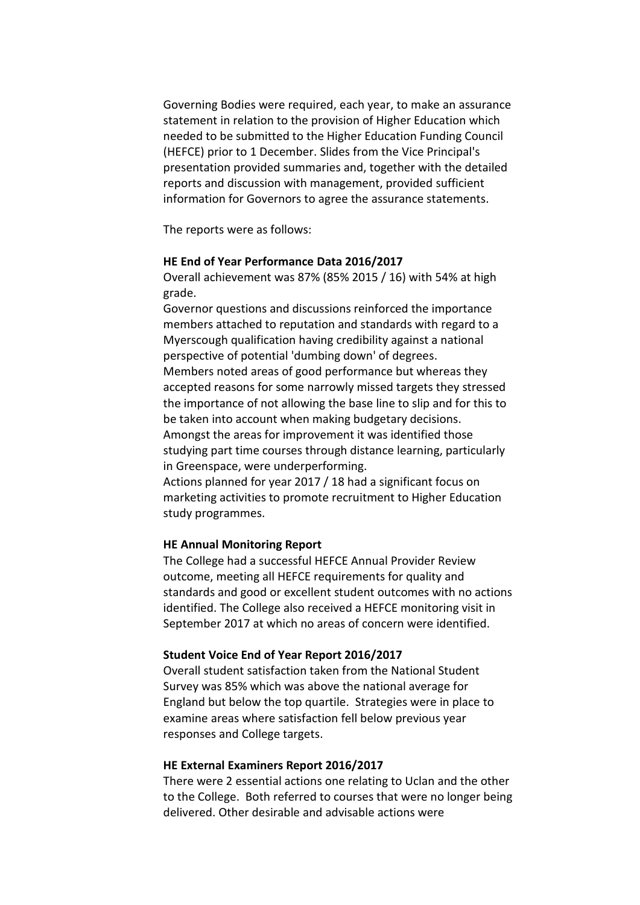Governing Bodies were required, each year, to make an assurance statement in relation to the provision of Higher Education which needed to be submitted to the Higher Education Funding Council (HEFCE) prior to 1 December. Slides from the Vice Principal's presentation provided summaries and, together with the detailed reports and discussion with management, provided sufficient information for Governors to agree the assurance statements.

The reports were as follows:

## **HE End of Year Performance Data 2016/2017**

Overall achievement was 87% (85% 2015 / 16) with 54% at high grade.

Governor questions and discussions reinforced the importance members attached to reputation and standards with regard to a Myerscough qualification having credibility against a national perspective of potential 'dumbing down' of degrees. Members noted areas of good performance but whereas they accepted reasons for some narrowly missed targets they stressed the importance of not allowing the base line to slip and for this to be taken into account when making budgetary decisions. Amongst the areas for improvement it was identified those studying part time courses through distance learning, particularly in Greenspace, were underperforming. Actions planned for year 2017 / 18 had a significant focus on

marketing activities to promote recruitment to Higher Education study programmes.

### **HE Annual Monitoring Report**

The College had a successful HEFCE Annual Provider Review outcome, meeting all HEFCE requirements for quality and standards and good or excellent student outcomes with no actions identified. The College also received a HEFCE monitoring visit in September 2017 at which no areas of concern were identified.

### **Student Voice End of Year Report 2016/2017**

Overall student satisfaction taken from the National Student Survey was 85% which was above the national average for England but below the top quartile. Strategies were in place to examine areas where satisfaction fell below previous year responses and College targets.

### **HE External Examiners Report 2016/2017**

There were 2 essential actions one relating to Uclan and the other to the College. Both referred to courses that were no longer being delivered. Other desirable and advisable actions were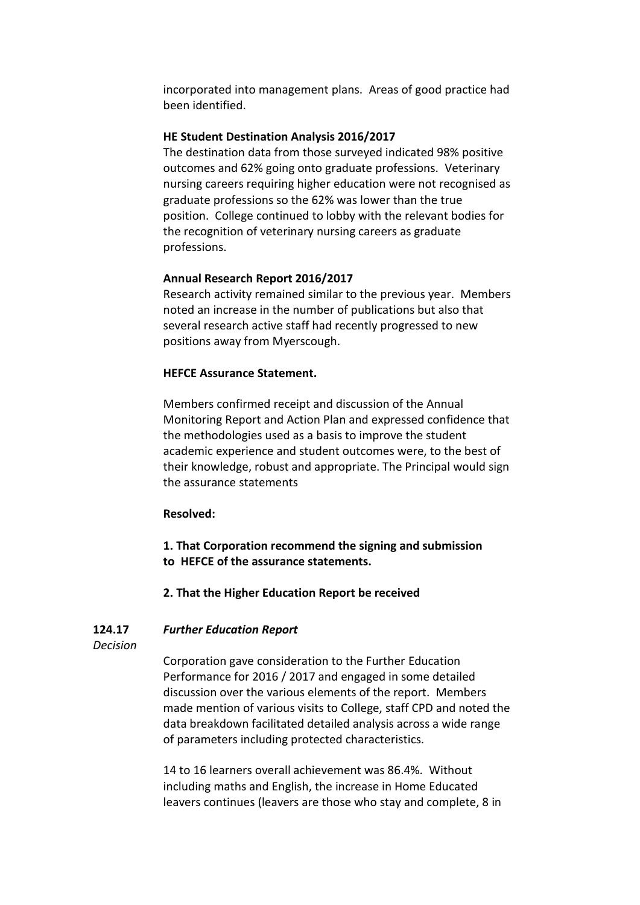incorporated into management plans. Areas of good practice had been identified.

### **HE Student Destination Analysis 2016/2017**

The destination data from those surveyed indicated 98% positive outcomes and 62% going onto graduate professions. Veterinary nursing careers requiring higher education were not recognised as graduate professions so the 62% was lower than the true position. College continued to lobby with the relevant bodies for the recognition of veterinary nursing careers as graduate professions.

## **Annual Research Report 2016/2017**

Research activity remained similar to the previous year. Members noted an increase in the number of publications but also that several research active staff had recently progressed to new positions away from Myerscough.

### **HEFCE Assurance Statement.**

Members confirmed receipt and discussion of the Annual Monitoring Report and Action Plan and expressed confidence that the methodologies used as a basis to improve the student academic experience and student outcomes were, to the best of their knowledge, robust and appropriate. The Principal would sign the assurance statements

### **Resolved:**

**1. That Corporation recommend the signing and submission to HEFCE of the assurance statements.**

## **2. That the Higher Education Report be received**

#### **124.17** *Further Education Report*

*Decision*

Corporation gave consideration to the Further Education Performance for 2016 / 2017 and engaged in some detailed discussion over the various elements of the report. Members made mention of various visits to College, staff CPD and noted the data breakdown facilitated detailed analysis across a wide range of parameters including protected characteristics.

14 to 16 learners overall achievement was 86.4%. Without including maths and English, the increase in Home Educated leavers continues (leavers are those who stay and complete, 8 in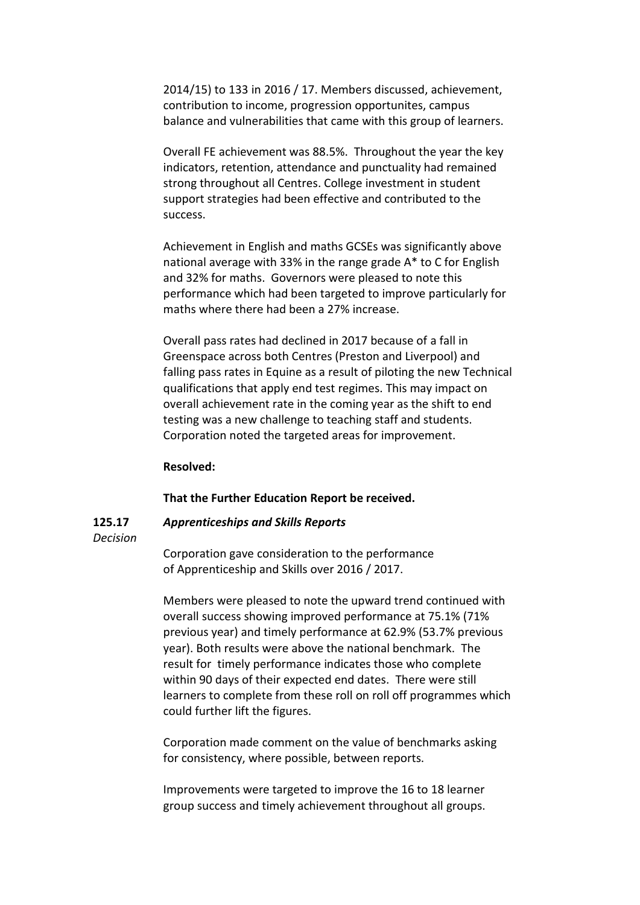2014/15) to 133 in 2016 / 17. Members discussed, achievement, contribution to income, progression opportunites, campus balance and vulnerabilities that came with this group of learners.

Overall FE achievement was 88.5%. Throughout the year the key indicators, retention, attendance and punctuality had remained strong throughout all Centres. College investment in student support strategies had been effective and contributed to the success.

Achievement in English and maths GCSEs was significantly above national average with 33% in the range grade A\* to C for English and 32% for maths. Governors were pleased to note this performance which had been targeted to improve particularly for maths where there had been a 27% increase.

Overall pass rates had declined in 2017 because of a fall in Greenspace across both Centres (Preston and Liverpool) and falling pass rates in Equine as a result of piloting the new Technical qualifications that apply end test regimes. This may impact on overall achievement rate in the coming year as the shift to end testing was a new challenge to teaching staff and students. Corporation noted the targeted areas for improvement.

## **Resolved:**

### **That the Further Education Report be received.**

#### **125.17** *Apprenticeships and Skills Reports*

### *Decision*

Corporation gave consideration to the performance of Apprenticeship and Skills over 2016 / 2017.

Members were pleased to note the upward trend continued with overall success showing improved performance at 75.1% (71% previous year) and timely performance at 62.9% (53.7% previous year). Both results were above the national benchmark. The result for timely performance indicates those who complete within 90 days of their expected end dates. There were still learners to complete from these roll on roll off programmes which could further lift the figures.

Corporation made comment on the value of benchmarks asking for consistency, where possible, between reports.

Improvements were targeted to improve the 16 to 18 learner group success and timely achievement throughout all groups.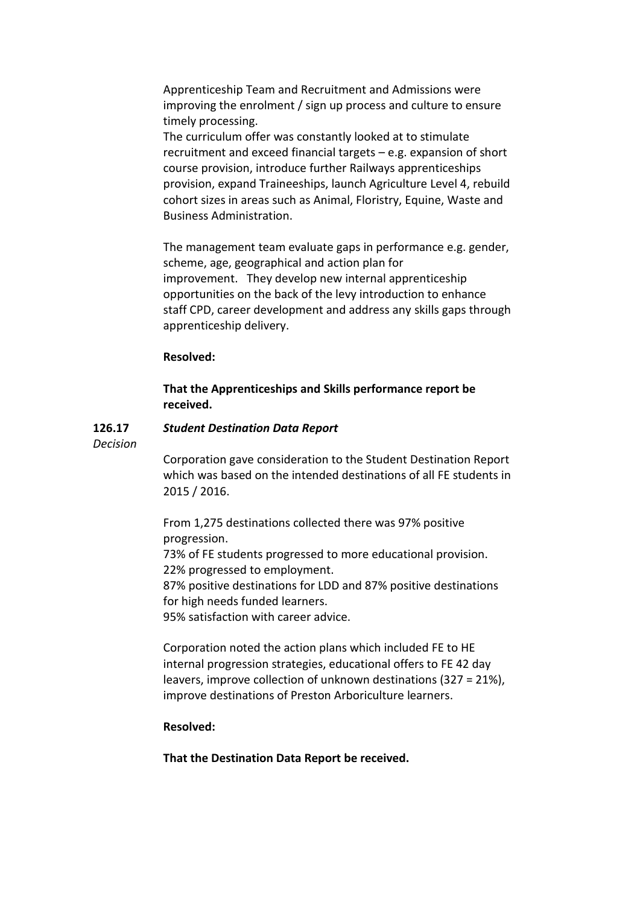Apprenticeship Team and Recruitment and Admissions were improving the enrolment / sign up process and culture to ensure timely processing.

The curriculum offer was constantly looked at to stimulate recruitment and exceed financial targets – e.g. expansion of short course provision, introduce further Railways apprenticeships provision, expand Traineeships, launch Agriculture Level 4, rebuild cohort sizes in areas such as Animal, Floristry, Equine, Waste and Business Administration.

The management team evaluate gaps in performance e.g. gender, scheme, age, geographical and action plan for improvement. They develop new internal apprenticeship opportunities on the back of the levy introduction to enhance staff CPD, career development and address any skills gaps through apprenticeship delivery.

### **Resolved:**

## **That the Apprenticeships and Skills performance report be received.**

#### **126.17** *Student Destination Data Report*

*Decision*

Corporation gave consideration to the Student Destination Report which was based on the intended destinations of all FE students in 2015 / 2016.

From 1,275 destinations collected there was 97% positive progression.

73% of FE students progressed to more educational provision. 22% progressed to employment.

87% positive destinations for LDD and 87% positive destinations for high needs funded learners.

95% satisfaction with career advice.

Corporation noted the action plans which included FE to HE internal progression strategies, educational offers to FE 42 day leavers, improve collection of unknown destinations (327 = 21%), improve destinations of Preston Arboriculture learners.

## **Resolved:**

**That the Destination Data Report be received.**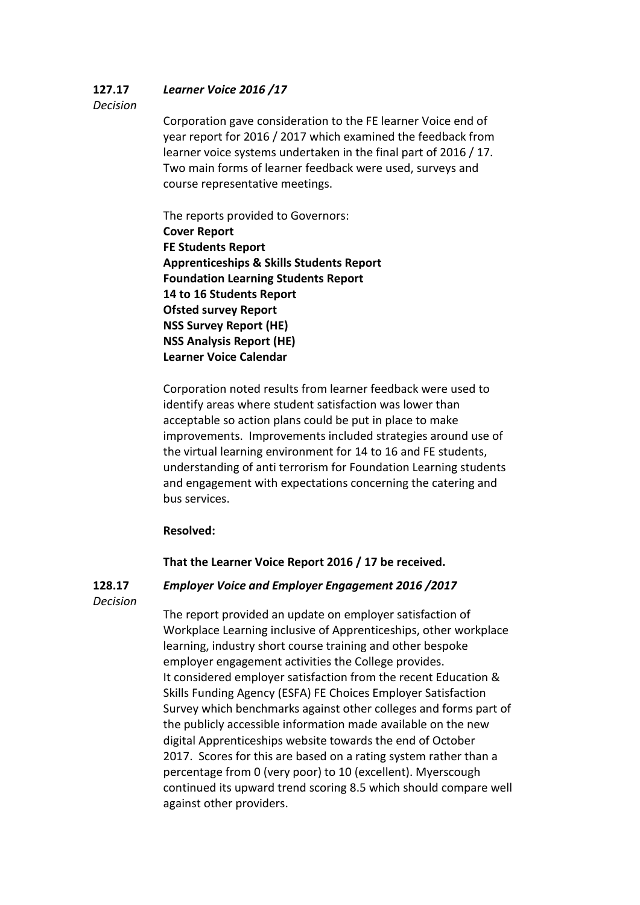#### **127.17** *Learner Voice 2016 /17*

## *Decision*

Corporation gave consideration to the FE learner Voice end of year report for 2016 / 2017 which examined the feedback from learner voice systems undertaken in the final part of 2016 / 17. Two main forms of learner feedback were used, surveys and course representative meetings.

The reports provided to Governors: **Cover Report FE Students Report Apprenticeships & Skills Students Report Foundation Learning Students Report 14 to 16 Students Report Ofsted survey Report NSS Survey Report (HE) NSS Analysis Report (HE) Learner Voice Calendar**

Corporation noted results from learner feedback were used to identify areas where student satisfaction was lower than acceptable so action plans could be put in place to make improvements. Improvements included strategies around use of the virtual learning environment for 14 to 16 and FE students, understanding of anti terrorism for Foundation Learning students and engagement with expectations concerning the catering and bus services.

## **Resolved:**

# **That the Learner Voice Report 2016 / 17 be received.**

**128.17**

# *Employer Voice and Employer Engagement 2016 /2017*

*Decision*

The report provided an update on employer satisfaction of Workplace Learning inclusive of Apprenticeships, other workplace learning, industry short course training and other bespoke employer engagement activities the College provides. It considered employer satisfaction from the recent Education & Skills Funding Agency (ESFA) FE Choices Employer Satisfaction Survey which benchmarks against other colleges and forms part of the publicly accessible information made available on the new digital Apprenticeships website towards the end of October 2017. Scores for this are based on a rating system rather than a percentage from 0 (very poor) to 10 (excellent). Myerscough continued its upward trend scoring 8.5 which should compare well against other providers.